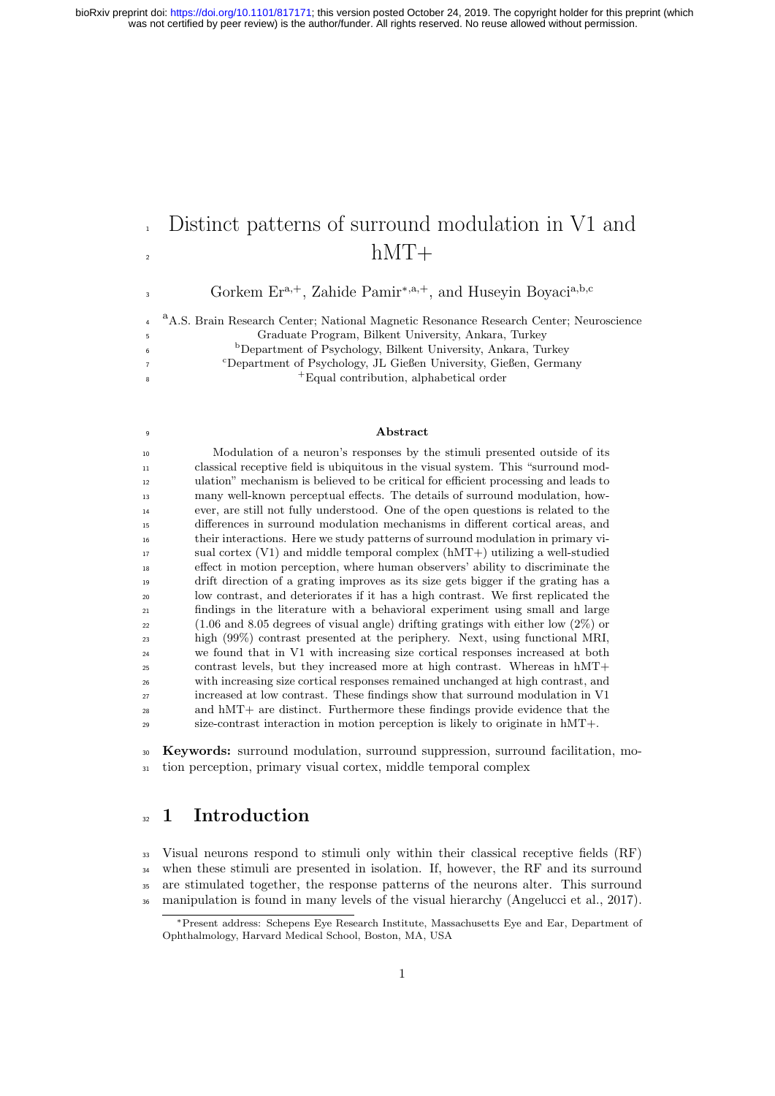# Distinct patterns of surround modulation in V1 and  $\hbox{hMT+}$

Gorkem  $Er^{a,+}$ , Zahide Pamir<sup>\*,a,+</sup>, and Huseyin Boyaci<sup>a,b,c</sup>

<sup>a</sup> A.S. Brain Research Center; National Magnetic Resonance Research Center; Neuroscience Graduate Program, Bilkent University, Ankara, Turkey

b Department of Psychology, Bilkent University, Ankara, Turkey

c Department of Psychology, JL Gießen University, Gießen, Germany

<sup>+</sup> Equal contribution, alphabetical order

#### <sup>9</sup> Abstract

 Modulation of a neuron's responses by the stimuli presented outside of its classical receptive field is ubiquitous in the visual system. This "surround mod- ulation" mechanism is believed to be critical for efficient processing and leads to many well-known perceptual effects. The details of surround modulation, how- ever, are still not fully understood. One of the open questions is related to the differences in surround modulation mechanisms in different cortical areas, and their interactions. Here we study patterns of surround modulation in primary vi- sual cortex (V1) and middle temporal complex (hMT+) utilizing a well-studied effect in motion perception, where human observers' ability to discriminate the drift direction of a grating improves as its size gets bigger if the grating has a low contrast, and deteriorates if it has a high contrast. We first replicated the findings in the literature with a behavioral experiment using small and large (1.06 and 8.05 degrees of visual angle) drifting gratings with either low (2%) or high (99%) contrast presented at the periphery. Next, using functional MRI, we found that in V1 with increasing size cortical responses increased at both contrast levels, but they increased more at high contrast. Whereas in hMT+ with increasing size cortical responses remained unchanged at high contrast, and increased at low contrast. These findings show that surround modulation in V1 and hMT+ are distinct. Furthermore these findings provide evidence that the size-contrast interaction in motion perception is likely to originate in hMT+.

 Keywords: surround modulation, surround suppression, surround facilitation, mo-tion perception, primary visual cortex, middle temporal complex

### <sup>32</sup> 1 Introduction

 Visual neurons respond to stimuli only within their classical receptive fields (RF) when these stimuli are presented in isolation. If, however, the RF and its surround are stimulated together, the response patterns of the neurons alter. This surround manipulation is found in many levels of the visual hierarchy (Angelucci et al., 2017).

<sup>∗</sup>Present address: Schepens Eye Research Institute, Massachusetts Eye and Ear, Department of Ophthalmology, Harvard Medical School, Boston, MA, USA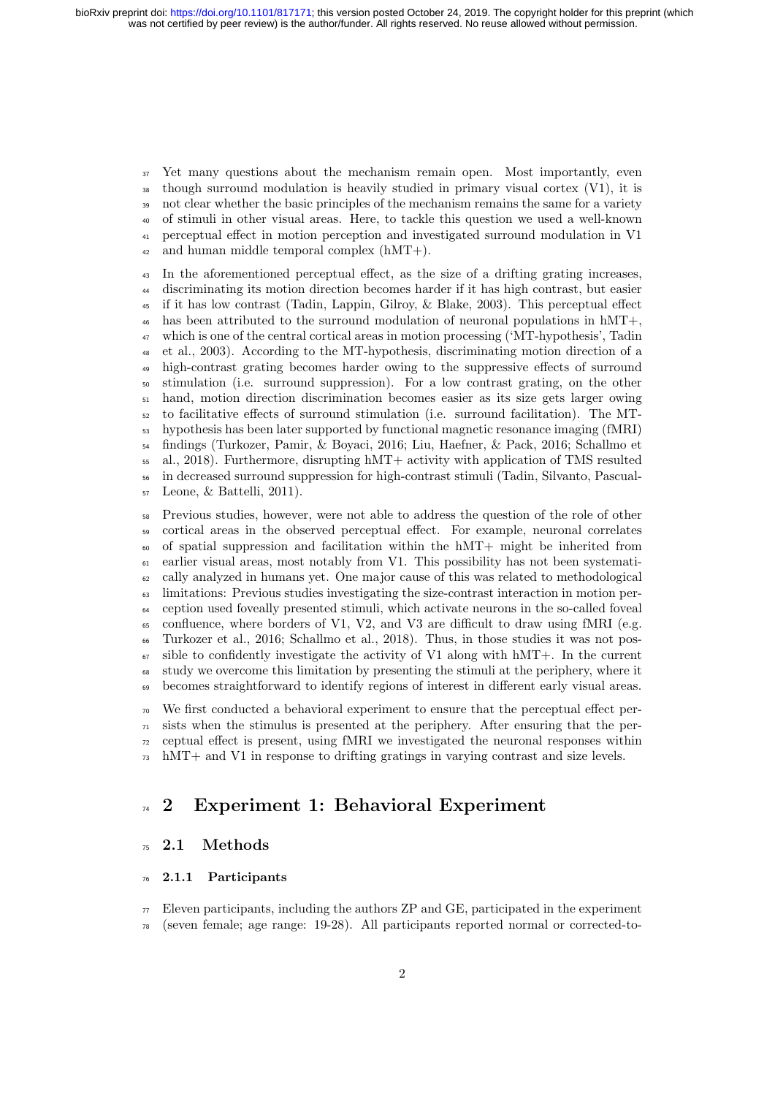Yet many questions about the mechanism remain open. Most importantly, even though surround modulation is heavily studied in primary visual cortex  $(V1)$ , it is not clear whether the basic principles of the mechanism remains the same for a variety of stimuli in other visual areas. Here, to tackle this question we used a well-known perceptual effect in motion perception and investigated surround modulation in V1 42 and human middle temporal complex  $(hMT+)$ .

 In the aforementioned perceptual effect, as the size of a drifting grating increases, discriminating its motion direction becomes harder if it has high contrast, but easier if it has low contrast (Tadin, Lappin, Gilroy, & Blake, 2003). This perceptual effect has been attributed to the surround modulation of neuronal populations in hMT+, which is one of the central cortical areas in motion processing ('MT-hypothesis', Tadin et al., 2003). According to the MT-hypothesis, discriminating motion direction of a high-contrast grating becomes harder owing to the suppressive effects of surround stimulation (i.e. surround suppression). For a low contrast grating, on the other hand, motion direction discrimination becomes easier as its size gets larger owing to facilitative effects of surround stimulation (i.e. surround facilitation). The MT- hypothesis has been later supported by functional magnetic resonance imaging (fMRI) findings (Turkozer, Pamir, & Boyaci, 2016; Liu, Haefner, & Pack, 2016; Schallmo et al., 2018). Furthermore, disrupting hMT+ activity with application of TMS resulted in decreased surround suppression for high-contrast stimuli (Tadin, Silvanto, Pascual-Leone, & Battelli, 2011).

 Previous studies, however, were not able to address the question of the role of other cortical areas in the observed perceptual effect. For example, neuronal correlates of spatial suppression and facilitation within the hMT+ might be inherited from earlier visual areas, most notably from V1. This possibility has not been systemati- cally analyzed in humans yet. One major cause of this was related to methodological limitations: Previous studies investigating the size-contrast interaction in motion per- ception used foveally presented stimuli, which activate neurons in the so-called foveal  $\epsilon$ <sub>65</sub> confluence, where borders of V1, V2, and V3 are difficult to draw using fMRI (e.g. Turkozer et al., 2016; Schallmo et al., 2018). Thus, in those studies it was not pos- sible to confidently investigate the activity of V1 along with hMT+. In the current study we overcome this limitation by presenting the stimuli at the periphery, where it becomes straightforward to identify regions of interest in different early visual areas.

 We first conducted a behavioral experiment to ensure that the perceptual effect per- $\pi$  sists when the stimulus is presented at the periphery. After ensuring that the per- ceptual effect is present, using fMRI we investigated the neuronal responses within hMT+ and V1 in response to drifting gratings in varying contrast and size levels.

## <sup>74</sup> 2 Experiment 1: Behavioral Experiment

### 2.1 Methods

### 2.1.1 Participants

 $\pi$  Eleven participants, including the authors ZP and GE, participated in the experiment (seven female; age range: 19-28). All participants reported normal or corrected-to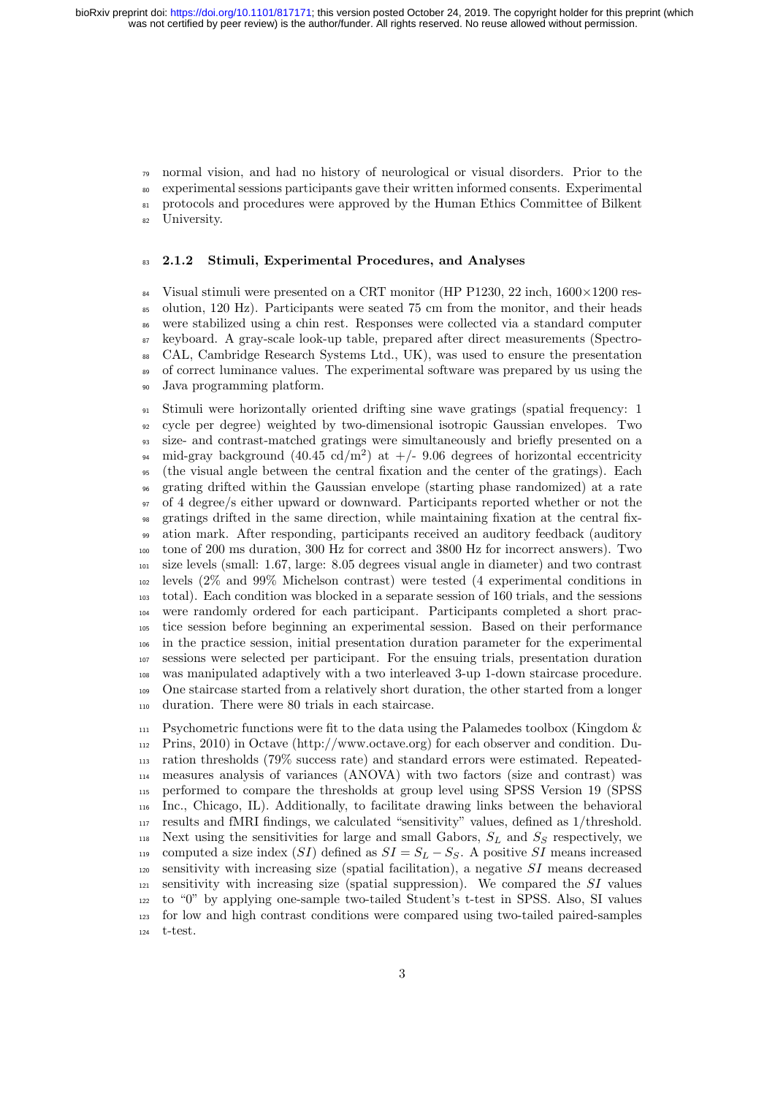normal vision, and had no history of neurological or visual disorders. Prior to the

experimental sessions participants gave their written informed consents. Experimental

protocols and procedures were approved by the Human Ethics Committee of Bilkent

University.

### 83 2.1.2 Stimuli, Experimental Procedures, and Analyses

 Visual stimuli were presented on a CRT monitor (HP P1230, 22 inch, 1600 $\times$ 1200 res- olution, 120 Hz). Participants were seated 75 cm from the monitor, and their heads were stabilized using a chin rest. Responses were collected via a standard computer keyboard. A gray-scale look-up table, prepared after direct measurements (Spectro- CAL, Cambridge Research Systems Ltd., UK), was used to ensure the presentation of correct luminance values. The experimental software was prepared by us using the Java programming platform.

 Stimuli were horizontally oriented drifting sine wave gratings (spatial frequency: 1 cycle per degree) weighted by two-dimensional isotropic Gaussian envelopes. Two size- and contrast-matched gratings were simultaneously and briefly presented on a <sup>94</sup> mid-gray background  $(40.45 \text{ cd/m}^2)$  at  $+/- 9.06$  degrees of horizontal eccentricity (the visual angle between the central fixation and the center of the gratings). Each grating drifted within the Gaussian envelope (starting phase randomized) at a rate of 4 degree/s either upward or downward. Participants reported whether or not the gratings drifted in the same direction, while maintaining fixation at the central fix- ation mark. After responding, participants received an auditory feedback (auditory tone of 200 ms duration, 300 Hz for correct and 3800 Hz for incorrect answers). Two size levels (small: 1.67, large: 8.05 degrees visual angle in diameter) and two contrast levels (2% and 99% Michelson contrast) were tested (4 experimental conditions in total). Each condition was blocked in a separate session of 160 trials, and the sessions were randomly ordered for each participant. Participants completed a short prac- tice session before beginning an experimental session. Based on their performance in the practice session, initial presentation duration parameter for the experimental sessions were selected per participant. For the ensuing trials, presentation duration was manipulated adaptively with a two interleaved 3-up 1-down staircase procedure. One staircase started from a relatively short duration, the other started from a longer duration. There were 80 trials in each staircase.

 $_{111}$  Psychometric functions were fit to the data using the Palamedes toolbox (Kingdom  $\&$  Prins, 2010) in Octave (http://www.octave.org) for each observer and condition. Du- ration thresholds (79% success rate) and standard errors were estimated. Repeated- measures analysis of variances (ANOVA) with two factors (size and contrast) was performed to compare the thresholds at group level using SPSS Version 19 (SPSS Inc., Chicago, IL). Additionally, to facilitate drawing links between the behavioral results and fMRI findings, we calculated "sensitivity" values, defined as 1/threshold. Next using the sensitivities for large and small Gabors,  $S_L$  and  $S_S$  respectively, we 119 computed a size index (SI) defined as  $SI = S_L - S_S$ . A positive SI means increased 120 sensitivity with increasing size (spatial facilitation), a negative  $SI$  means decreased sensitivity with increasing size (spatial suppression). We compared the SI values to "0" by applying one-sample two-tailed Student's t-test in SPSS. Also, SI values for low and high contrast conditions were compared using two-tailed paired-samples t-test.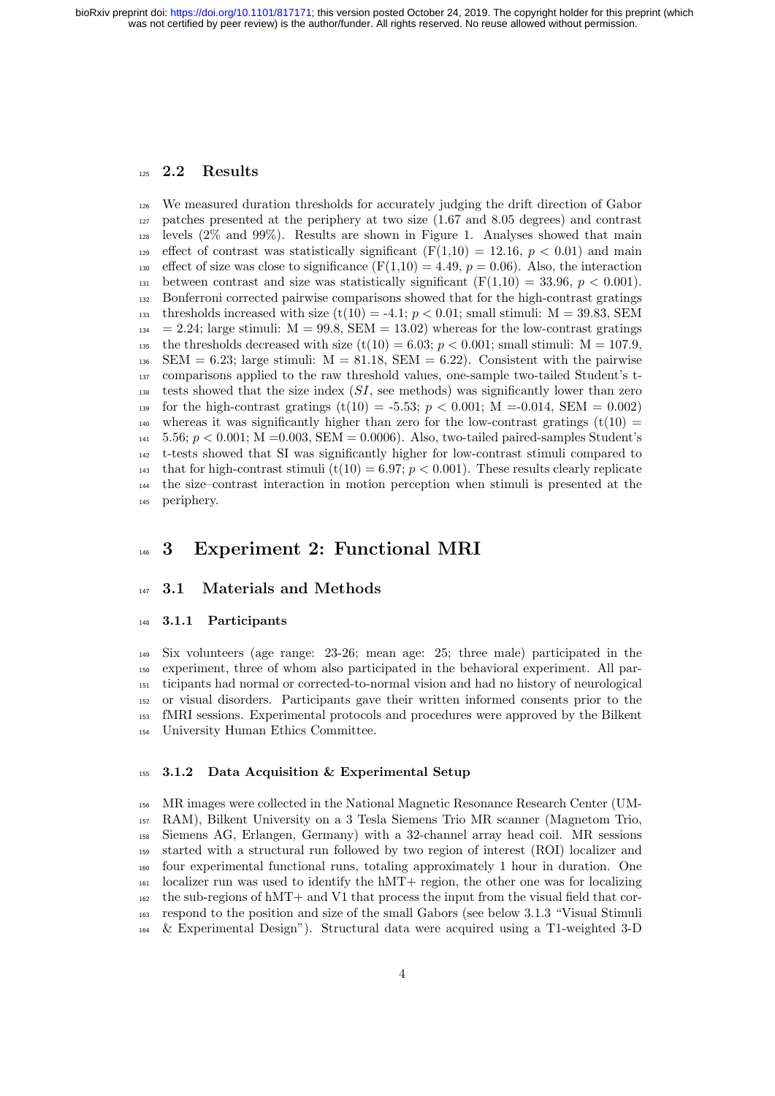#### **2.2** Results

 We measured duration thresholds for accurately judging the drift direction of Gabor patches presented at the periphery at two size (1.67 and 8.05 degrees) and contrast levels  $(2\%$  and  $99\%)$ . Results are shown in Figure 1. Analyses showed that main 129 effect of contrast was statistically significant  $(F(1,10) = 12.16, p < 0.01)$  and main 130 effect of size was close to significance  $(F(1,10) = 4.49, p = 0.06)$ . Also, the interaction 131 between contrast and size was statistically significant  $(F(1,10) = 33.96, p < 0.001)$ . Bonferroni corrected pairwise comparisons showed that for the high-contrast gratings thresholds increased with size  $(t(10) = -4.1; p < 0.01$ ; small stimuli: M = 39.83, SEM  $_{134}$  = 2.24; large stimuli:  $M = 99.8$ , SEM = 13.02) whereas for the low-contrast gratings 135 the thresholds decreased with size  $(t(10) = 6.03; p < 0.001;$  small stimuli:  $M = 107.9$ , SEM = 6.23; large stimuli:  $M = 81.18$ , SEM = 6.22). Consistent with the pairwise comparisons applied to the raw threshold values, one-sample two-tailed Student's t-138 tests showed that the size index  $(SI)$ , see methods) was significantly lower than zero 139 for the high-contrast gratings (t(10) = -5.53;  $p < 0.001$ ; M = -0.014, SEM = 0.002) 140 whereas it was significantly higher than zero for the low-contrast gratings (t(10) =  $1_{41}$  5.56;  $p < 0.001$ ; M = 0.003, SEM = 0.0006). Also, two-tailed paired-samples Student's t-tests showed that SI was significantly higher for low-contrast stimuli compared to that for high-contrast stimuli (t(10) = 6.97;  $p < 0.001$ ). These results clearly replicate the size–contrast interaction in motion perception when stimuli is presented at the periphery.

### 146 3 Experiment 2: Functional MRI

### 147 3.1 Materials and Methods

#### 3.1.1 Participants

 Six volunteers (age range: 23-26; mean age: 25; three male) participated in the experiment, three of whom also participated in the behavioral experiment. All par- ticipants had normal or corrected-to-normal vision and had no history of neurological or visual disorders. Participants gave their written informed consents prior to the fMRI sessions. Experimental protocols and procedures were approved by the Bilkent University Human Ethics Committee.

#### 3.1.2 Data Acquisition & Experimental Setup

 MR images were collected in the National Magnetic Resonance Research Center (UM- RAM), Bilkent University on a 3 Tesla Siemens Trio MR scanner (Magnetom Trio, Siemens AG, Erlangen, Germany) with a 32-channel array head coil. MR sessions started with a structural run followed by two region of interest (ROI) localizer and four experimental functional runs, totaling approximately 1 hour in duration. One localizer run was used to identify the hMT+ region, the other one was for localizing the sub-regions of hMT+ and V1 that process the input from the visual field that cor- respond to the position and size of the small Gabors (see below 3.1.3 "Visual Stimuli & Experimental Design"). Structural data were acquired using a T1-weighted 3-D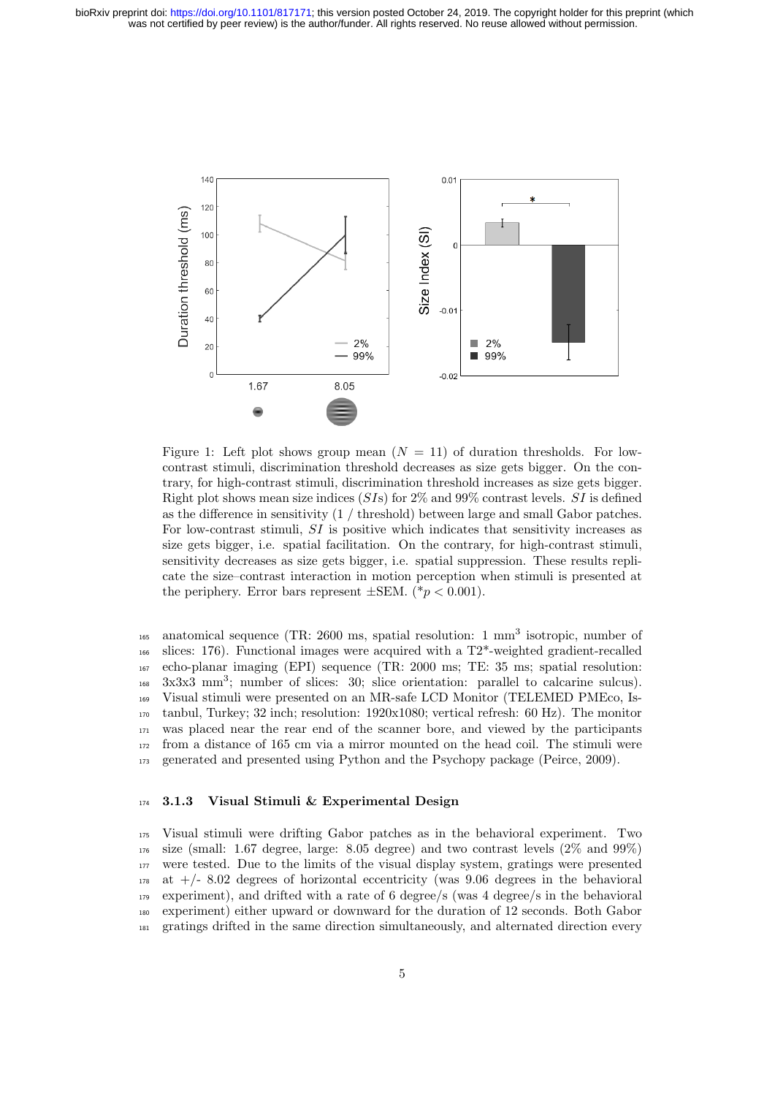

Figure 1: Left plot shows group mean  $(N = 11)$  of duration thresholds. For lowcontrast stimuli, discrimination threshold decreases as size gets bigger. On the contrary, for high-contrast stimuli, discrimination threshold increases as size gets bigger. Right plot shows mean size indices  $(SIs)$  for 2% and 99% contrast levels. SI is defined as the difference in sensitivity (1 / threshold) between large and small Gabor patches. For low-contrast stimuli, SI is positive which indicates that sensitivity increases as size gets bigger, i.e. spatial facilitation. On the contrary, for high-contrast stimuli, sensitivity decreases as size gets bigger, i.e. spatial suppression. These results replicate the size–contrast interaction in motion perception when stimuli is presented at the periphery. Error bars represent  $\pm$ SEM. (\* $p < 0.001$ ).

165 anatomical sequence (TR: 2600 ms, spatial resolution: 1 mm<sup>3</sup> isotropic, number of slices: 176). Functional images were acquired with a T2\*-weighted gradient-recalled echo-planar imaging (EPI) sequence (TR: 2000 ms; TE: 35 ms; spatial resolution: 168 3x3x3 mm<sup>3</sup>; number of slices: 30; slice orientation: parallel to calcarine sulcus). Visual stimuli were presented on an MR-safe LCD Monitor (TELEMED PMEco, Is- tanbul, Turkey; 32 inch; resolution: 1920x1080; vertical refresh: 60 Hz). The monitor was placed near the rear end of the scanner bore, and viewed by the participants from a distance of 165 cm via a mirror mounted on the head coil. The stimuli were generated and presented using Python and the Psychopy package (Peirce, 2009).

#### 174 3.1.3 Visual Stimuli & Experimental Design

 Visual stimuli were drifting Gabor patches as in the behavioral experiment. Two  $_{176}$  size (small: 1.67 degree, large: 8.05 degree) and two contrast levels (2% and 99%) were tested. Due to the limits of the visual display system, gratings were presented at  $+/-$  8.02 degrees of horizontal eccentricity (was 9.06 degrees in the behavioral experiment), and drifted with a rate of 6 degree/s (was 4 degree/s in the behavioral experiment) either upward or downward for the duration of 12 seconds. Both Gabor gratings drifted in the same direction simultaneously, and alternated direction every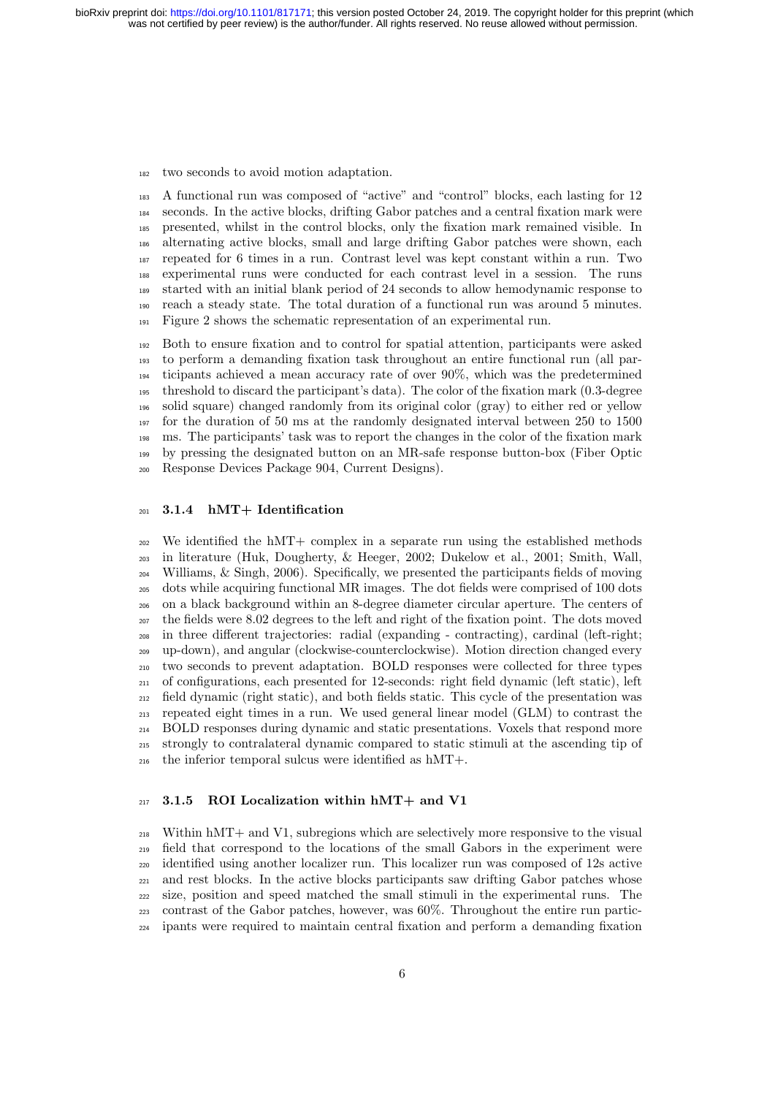two seconds to avoid motion adaptation.

 A functional run was composed of "active" and "control" blocks, each lasting for 12 seconds. In the active blocks, drifting Gabor patches and a central fixation mark were presented, whilst in the control blocks, only the fixation mark remained visible. In alternating active blocks, small and large drifting Gabor patches were shown, each repeated for 6 times in a run. Contrast level was kept constant within a run. Two experimental runs were conducted for each contrast level in a session. The runs started with an initial blank period of 24 seconds to allow hemodynamic response to reach a steady state. The total duration of a functional run was around 5 minutes. Figure 2 shows the schematic representation of an experimental run.

 Both to ensure fixation and to control for spatial attention, participants were asked to perform a demanding fixation task throughout an entire functional run (all par- ticipants achieved a mean accuracy rate of over 90%, which was the predetermined threshold to discard the participant's data). The color of the fixation mark (0.3-degree solid square) changed randomly from its original color (gray) to either red or yellow for the duration of 50 ms at the randomly designated interval between 250 to 1500 ms. The participants' task was to report the changes in the color of the fixation mark by pressing the designated button on an MR-safe response button-box (Fiber Optic Response Devices Package 904, Current Designs).

#### 3.1.4 hMT+ Identification

 We identified the hMT+ complex in a separate run using the established methods in literature (Huk, Dougherty, & Heeger, 2002; Dukelow et al., 2001; Smith, Wall, Williams, & Singh, 2006). Specifically, we presented the participants fields of moving dots while acquiring functional MR images. The dot fields were comprised of 100 dots on a black background within an 8-degree diameter circular aperture. The centers of the fields were 8.02 degrees to the left and right of the fixation point. The dots moved in three different trajectories: radial (expanding - contracting), cardinal (left-right; up-down), and angular (clockwise-counterclockwise). Motion direction changed every two seconds to prevent adaptation. BOLD responses were collected for three types of configurations, each presented for 12-seconds: right field dynamic (left static), left field dynamic (right static), and both fields static. This cycle of the presentation was repeated eight times in a run. We used general linear model (GLM) to contrast the BOLD responses during dynamic and static presentations. Voxels that respond more strongly to contralateral dynamic compared to static stimuli at the ascending tip of the inferior temporal sulcus were identified as hMT+.

#### $_{217}$  3.1.5 ROI Localization within hMT+ and V1

 Within hMT+ and V1, subregions which are selectively more responsive to the visual field that correspond to the locations of the small Gabors in the experiment were identified using another localizer run. This localizer run was composed of 12s active <sub>221</sub> and rest blocks. In the active blocks participants saw drifting Gabor patches whose size, position and speed matched the small stimuli in the experimental runs. The contrast of the Gabor patches, however, was 60%. Throughout the entire run partic-ipants were required to maintain central fixation and perform a demanding fixation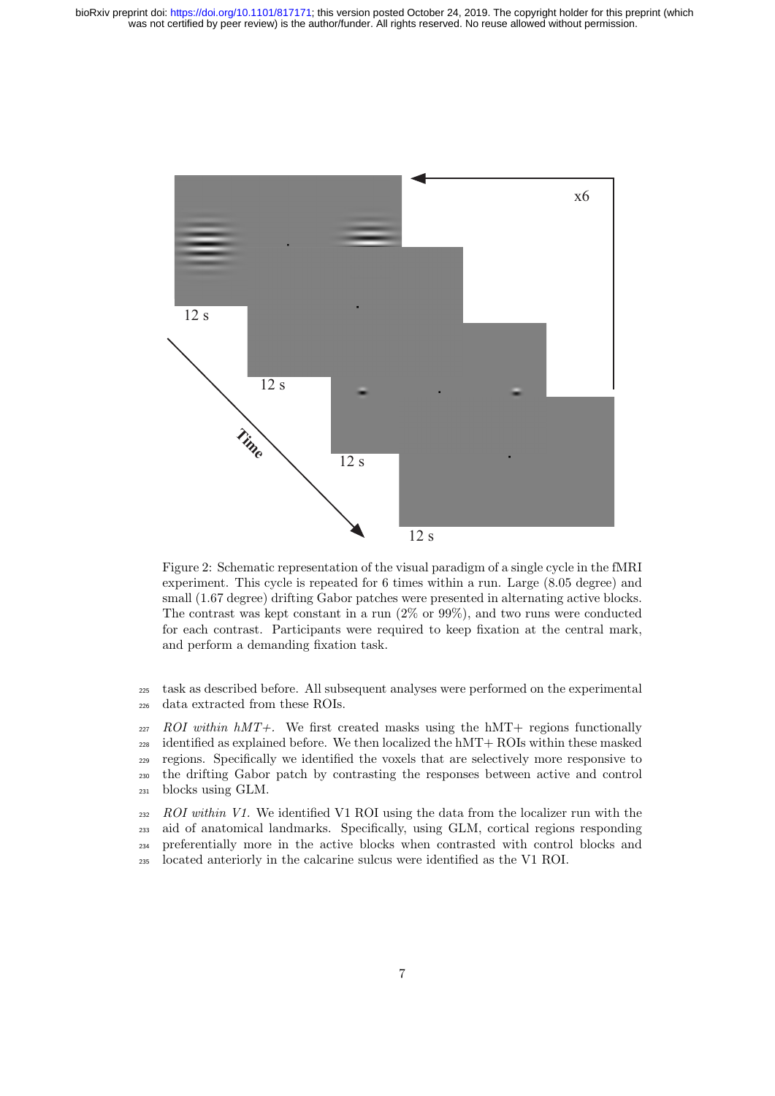

Figure 2: Schematic representation of the visual paradigm of a single cycle in the fMRI experiment. This cycle is repeated for 6 times within a run. Large (8.05 degree) and small (1.67 degree) drifting Gabor patches were presented in alternating active blocks. The contrast was kept constant in a run (2% or 99%), and two runs were conducted for each contrast. Participants were required to keep fixation at the central mark, and perform a demanding fixation task.

<sup>225</sup> task as described before. All subsequent analyses were performed on the experimental <sup>226</sup> data extracted from these ROIs.

 ROI within  $M$ T+. We first created masks using the hMT+ regions functionally identified as explained before. We then localized the hMT+ ROIs within these masked regions. Specifically we identified the voxels that are selectively more responsive to the drifting Gabor patch by contrasting the responses between active and control blocks using GLM.

 ROI within V1. We identified V1 ROI using the data from the localizer run with the aid of anatomical landmarks. Specifically, using GLM, cortical regions responding preferentially more in the active blocks when contrasted with control blocks and located anteriorly in the calcarine sulcus were identified as the V1 ROI.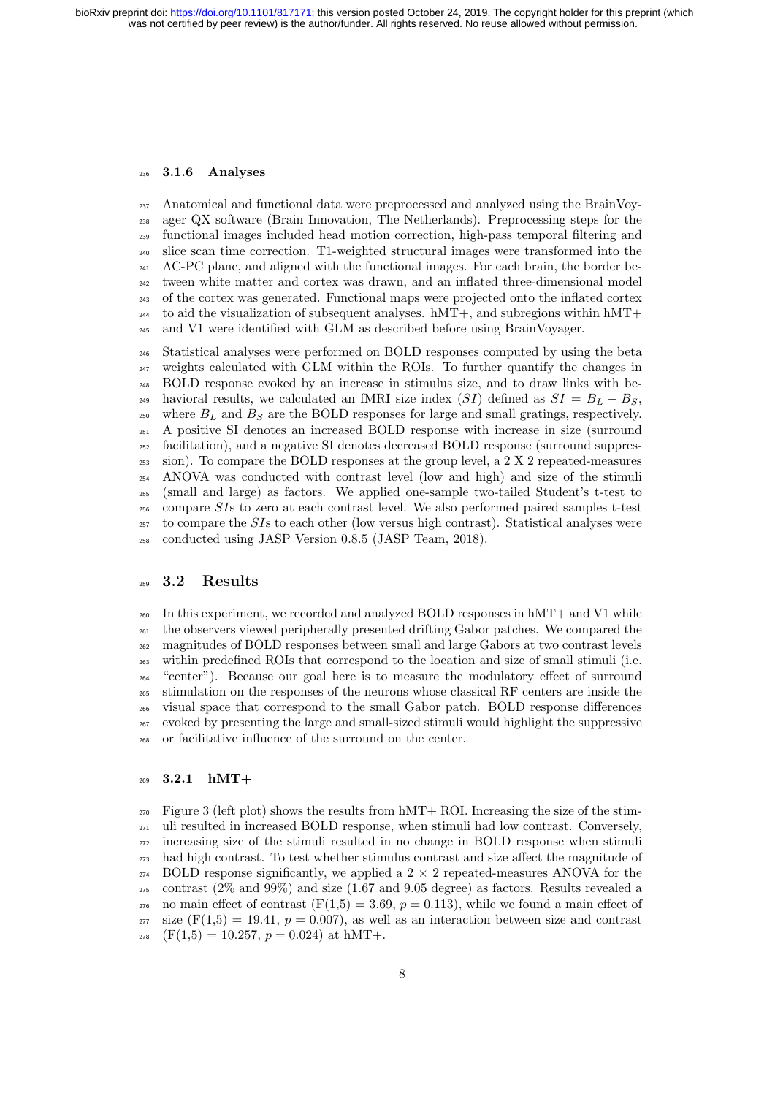#### 3.1.6 Analyses

 Anatomical and functional data were preprocessed and analyzed using the BrainVoy- ager QX software (Brain Innovation, The Netherlands). Preprocessing steps for the functional images included head motion correction, high-pass temporal filtering and slice scan time correction. T1-weighted structural images were transformed into the AC-PC plane, and aligned with the functional images. For each brain, the border be- tween white matter and cortex was drawn, and an inflated three-dimensional model of the cortex was generated. Functional maps were projected onto the inflated cortex  $_{244}$  to aid the visualization of subsequent analyses. hMT+, and subregions within hMT+ and V1 were identified with GLM as described before using BrainVoyager.

 Statistical analyses were performed on BOLD responses computed by using the beta weights calculated with GLM within the ROIs. To further quantify the changes in BOLD response evoked by an increase in stimulus size, and to draw links with be-249 havioral results, we calculated an fMRI size index  $(SI)$  defined as  $SI = B_L - B_S$ , <sup>250</sup> where  $B_L$  and  $B_S$  are the BOLD responses for large and small gratings, respectively. A positive SI denotes an increased BOLD response with increase in size (surround facilitation), and a negative SI denotes decreased BOLD response (surround suppres- sion). To compare the BOLD responses at the group level, a 2 X 2 repeated-measures ANOVA was conducted with contrast level (low and high) and size of the stimuli (small and large) as factors. We applied one-sample two-tailed Student's t-test to compare SIs to zero at each contrast level. We also performed paired samples t-test to compare the  $SIS$  to each other (low versus high contrast). Statistical analyses were conducted using JASP Version 0.8.5 (JASP Team, 2018).

#### 3.2 Results

 In this experiment, we recorded and analyzed BOLD responses in hMT+ and V1 while the observers viewed peripherally presented drifting Gabor patches. We compared the magnitudes of BOLD responses between small and large Gabors at two contrast levels within predefined ROIs that correspond to the location and size of small stimuli (i.e. "center"). Because our goal here is to measure the modulatory effect of surround stimulation on the responses of the neurons whose classical RF centers are inside the visual space that correspond to the small Gabor patch. BOLD response differences evoked by presenting the large and small-sized stimuli would highlight the suppressive or facilitative influence of the surround on the center.

#### 3.2.1 hMT+

 $_{270}$  Figure 3 (left plot) shows the results from hMT+ ROI. Increasing the size of the stim- uli resulted in increased BOLD response, when stimuli had low contrast. Conversely, increasing size of the stimuli resulted in no change in BOLD response when stimuli had high contrast. To test whether stimulus contrast and size affect the magnitude of 274 BOLD response significantly, we applied a  $2 \times 2$  repeated-measures ANOVA for the contrast (2% and 99%) and size (1.67 and 9.05 degree) as factors. Results revealed a 276 no main effect of contrast  $(F(1,5) = 3.69, p = 0.113)$ , while we found a main effect of  $_{277}$  size (F(1,5) = 19.41,  $p = 0.007$ ), as well as an interaction between size and contrast  $_{278}$   $(F(1.5) = 10.257, p = 0.024)$  at hMT+.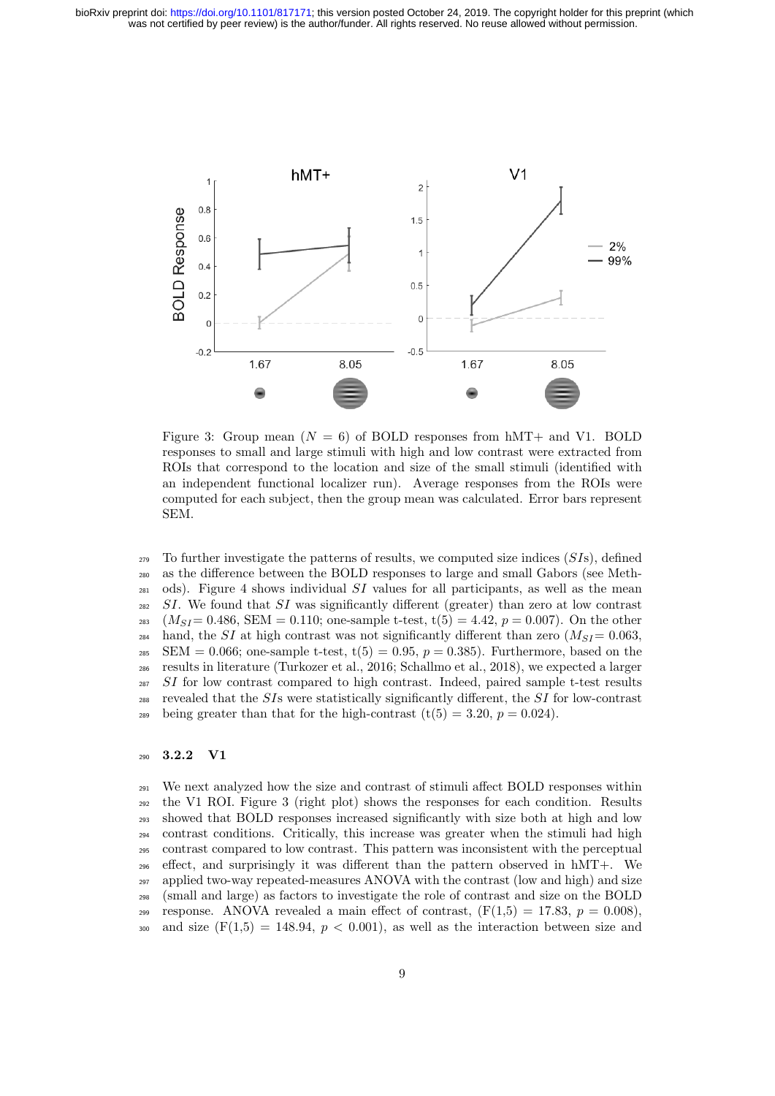

Figure 3: Group mean  $(N = 6)$  of BOLD responses from hMT+ and V1. BOLD responses to small and large stimuli with high and low contrast were extracted from ROIs that correspond to the location and size of the small stimuli (identified with an independent functional localizer run). Average responses from the ROIs were computed for each subject, then the group mean was calculated. Error bars represent SEM.

 $279$  To further investigate the patterns of results, we computed size indices  $(SIs)$ , defined <sup>280</sup> as the difference between the BOLD responses to large and small Gabors (see Meth- $_{281}$  ods). Figure 4 shows individual SI values for all participants, as well as the mean  $282$  SI. We found that SI was significantly different (greater) than zero at low contrast <sup>283</sup> ( $M_{SI}$  = 0.486, SEM = 0.110; one-sample t-test, t(5) = 4.42,  $p = 0.007$ ). On the other <sup>284</sup> hand, the SI at high contrast was not significantly different than zero  $(M_{SI}= 0.063,$ <sup>285</sup> SEM = 0.066; one-sample t-test,  $t(5) = 0.95$ ,  $p = 0.385$ ). Furthermore, based on the <sup>286</sup> results in literature (Turkozer et al., 2016; Schallmo et al., 2018), we expected a larger  $287$  SI for low contrast compared to high contrast. Indeed, paired sample t-test results  $288$  revealed that the SIs were statistically significantly different, the SI for low-contrast being greater than that for the high-contrast  $(t(5) = 3.20, p = 0.024)$ .

#### <sup>290</sup> 3.2.2 V1

 We next analyzed how the size and contrast of stimuli affect BOLD responses within the V1 ROI. Figure 3 (right plot) shows the responses for each condition. Results showed that BOLD responses increased significantly with size both at high and low contrast conditions. Critically, this increase was greater when the stimuli had high contrast compared to low contrast. This pattern was inconsistent with the perceptual effect, and surprisingly it was different than the pattern observed in hMT+. We applied two-way repeated-measures ANOVA with the contrast (low and high) and size (small and large) as factors to investigate the role of contrast and size on the BOLD response. ANOVA revealed a main effect of contrast,  $(F(1,5) = 17.83, p = 0.008)$ , 300 and size  $(F(1,5) = 148.94, p < 0.001)$ , as well as the interaction between size and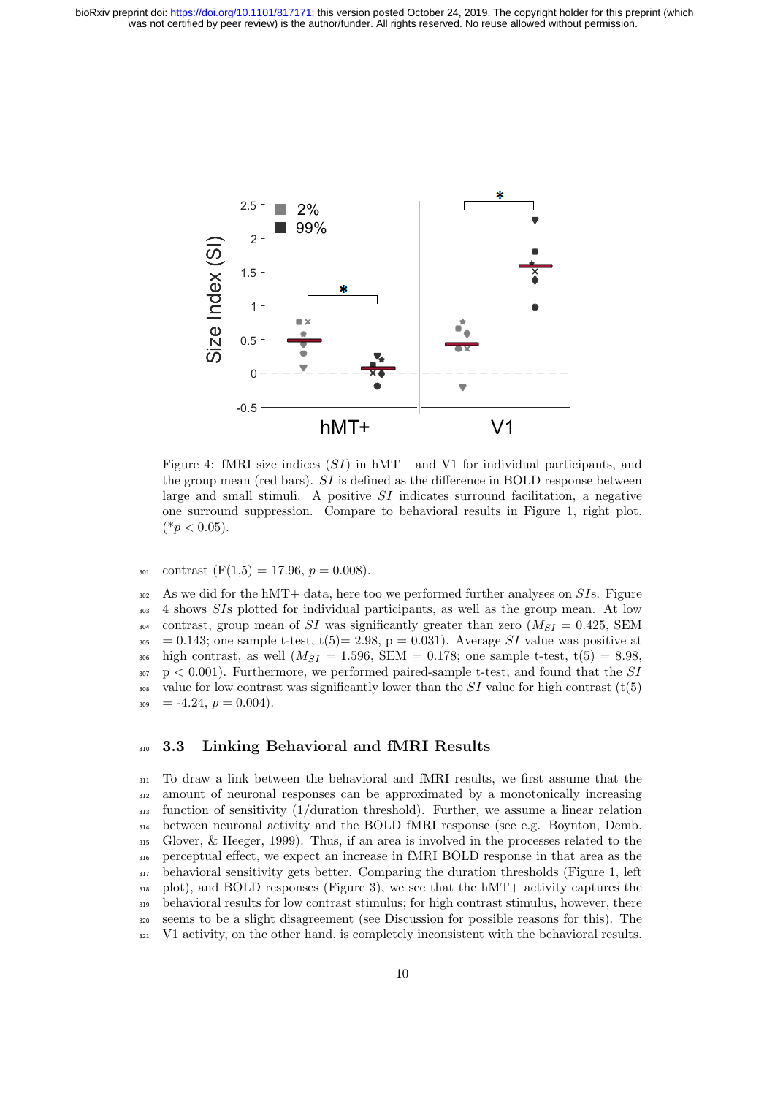

Figure 4: fMRI size indices  $(SI)$  in hMT+ and V1 for individual participants, and the group mean (red bars). SI is defined as the difference in BOLD response between large and small stimuli. A positive  $SI$  indicates surround facilitation, a negative one surround suppression. Compare to behavioral results in Figure 1, right plot.  $(*p < 0.05).$ 

 $_{301}$  contrast  $(F(1,5) = 17.96, p = 0.008).$ 

 $302$  As we did for the hMT+ data, here too we performed further analyses on  $SIs$ . Figure <sup>303</sup> 4 shows SIs plotted for individual participants, as well as the group mean. At low 304 contrast, group mean of SI was significantly greater than zero  $(M_{SI} = 0.425, \text{ SEM})$  $305 = 0.143$ ; one sample t-test, t(5) = 2.98, p = 0.031). Average SI value was positive at 306 high contrast, as well  $(M_{SI} = 1.596, \text{ SEM} = 0.178; \text{ one sample t-test, } t(5) = 8.98,$  $307 \text{ p} < 0.001$ . Furthermore, we performed paired-sample t-test, and found that the SI 308 value for low contrast was significantly lower than the  $SI$  value for high contrast (t(5)  $309 = -4.24, p = 0.004$ .

### 310 3.3 Linking Behavioral and fMRI Results

 To draw a link between the behavioral and fMRI results, we first assume that the amount of neuronal responses can be approximated by a monotonically increasing function of sensitivity (1/duration threshold). Further, we assume a linear relation between neuronal activity and the BOLD fMRI response (see e.g. Boynton, Demb, Glover, & Heeger, 1999). Thus, if an area is involved in the processes related to the perceptual effect, we expect an increase in fMRI BOLD response in that area as the behavioral sensitivity gets better. Comparing the duration thresholds (Figure 1, left plot), and BOLD responses (Figure 3), we see that the hMT+ activity captures the behavioral results for low contrast stimulus; for high contrast stimulus, however, there seems to be a slight disagreement (see Discussion for possible reasons for this). The V1 activity, on the other hand, is completely inconsistent with the behavioral results.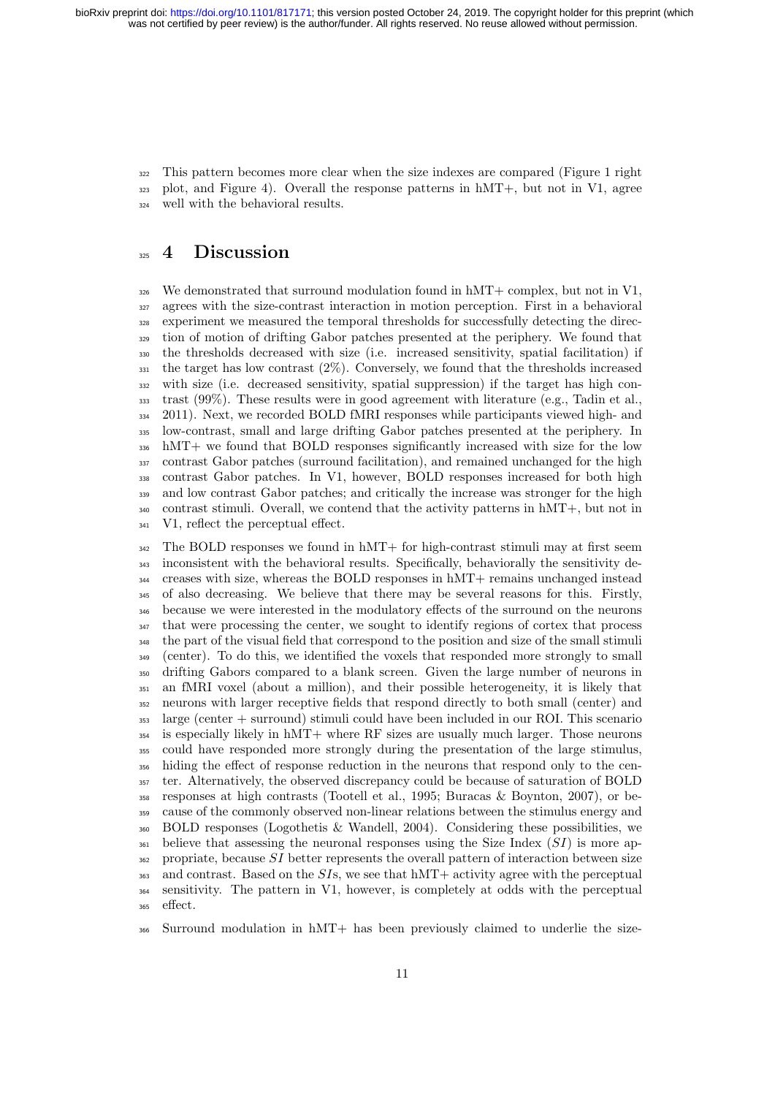This pattern becomes more clear when the size indexes are compared (Figure 1 right  $_{323}$  plot, and Figure 4). Overall the response patterns in hMT+, but not in V1, agree well with the behavioral results.

### 325 4 Discussion

 We demonstrated that surround modulation found in hMT+ complex, but not in V1, agrees with the size-contrast interaction in motion perception. First in a behavioral experiment we measured the temporal thresholds for successfully detecting the direc- tion of motion of drifting Gabor patches presented at the periphery. We found that the thresholds decreased with size (i.e. increased sensitivity, spatial facilitation) if  $_{331}$  the target has low contrast  $(2\%)$ . Conversely, we found that the thresholds increased with size (i.e. decreased sensitivity, spatial suppression) if the target has high con- trast (99%). These results were in good agreement with literature (e.g., Tadin et al., 2011). Next, we recorded BOLD fMRI responses while participants viewed high- and low-contrast, small and large drifting Gabor patches presented at the periphery. In hMT+ we found that BOLD responses significantly increased with size for the low contrast Gabor patches (surround facilitation), and remained unchanged for the high contrast Gabor patches. In V1, however, BOLD responses increased for both high and low contrast Gabor patches; and critically the increase was stronger for the high contrast stimuli. Overall, we contend that the activity patterns in hMT+, but not in V1, reflect the perceptual effect.

 The BOLD responses we found in hMT+ for high-contrast stimuli may at first seem inconsistent with the behavioral results. Specifically, behaviorally the sensitivity de- creases with size, whereas the BOLD responses in hMT+ remains unchanged instead of also decreasing. We believe that there may be several reasons for this. Firstly, because we were interested in the modulatory effects of the surround on the neurons <sup>347</sup> that were processing the center, we sought to identify regions of cortex that process <sup>348</sup> the part of the visual field that correspond to the position and size of the small stimuli <sup>349</sup> (center). To do this, we identified the voxels that responded more strongly to small drifting Gabors compared to a blank screen. Given the large number of neurons in an fMRI voxel (about a million), and their possible heterogeneity, it is likely that neurons with larger receptive fields that respond directly to both small (center) and large (center + surround) stimuli could have been included in our ROI. This scenario is especially likely in hMT+ where RF sizes are usually much larger. Those neurons could have responded more strongly during the presentation of the large stimulus, hiding the effect of response reduction in the neurons that respond only to the cen- ter. Alternatively, the observed discrepancy could be because of saturation of BOLD responses at high contrasts (Tootell et al., 1995; Buracas & Boynton, 2007), or be- cause of the commonly observed non-linear relations between the stimulus energy and BOLD responses (Logothetis & Wandell, 2004). Considering these possibilities, we  $_{361}$  believe that assessing the neuronal responses using the Size Index (SI) is more ap- propriate, because SI better represents the overall pattern of interaction between size and contrast. Based on the SIs, we see that  $\text{hMT}$  activity agree with the perceptual sensitivity. The pattern in V1, however, is completely at odds with the perceptual effect.

Surround modulation in hMT+ has been previously claimed to underlie the size-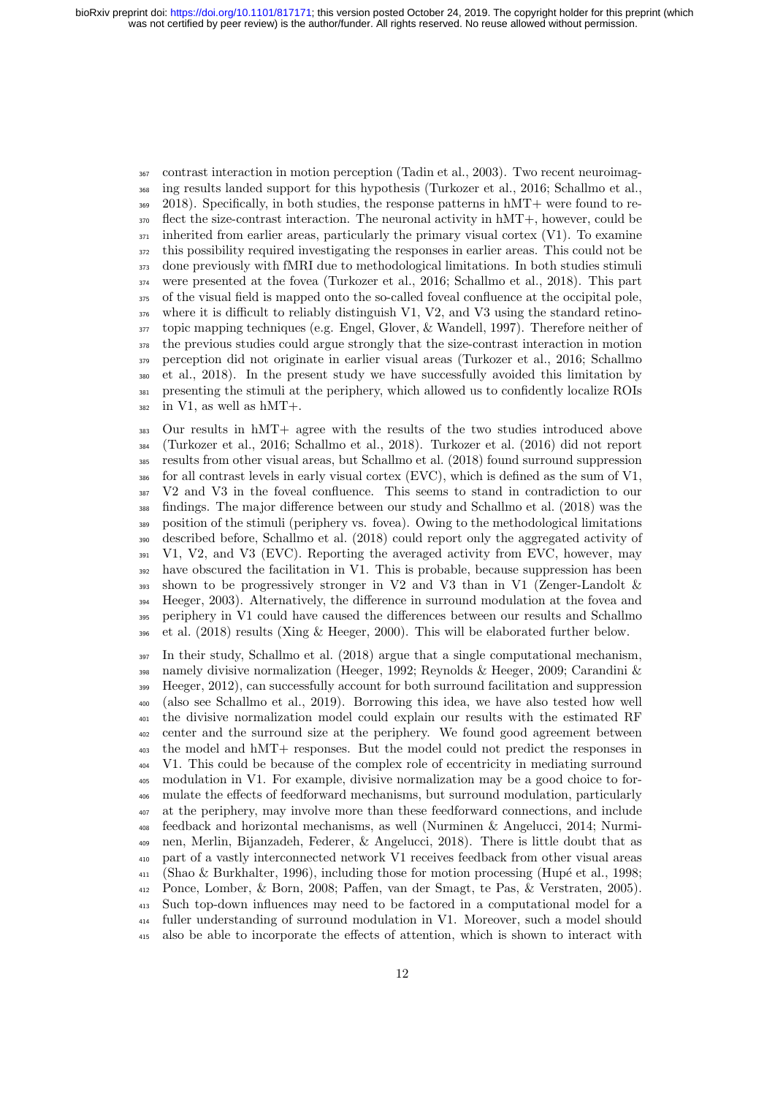contrast interaction in motion perception (Tadin et al., 2003). Two recent neuroimag- ing results landed support for this hypothesis (Turkozer et al., 2016; Schallmo et al., 2018). Specifically, in both studies, the response patterns in hMT+ were found to re- flect the size-contrast interaction. The neuronal activity in hMT+, however, could be inherited from earlier areas, particularly the primary visual cortex  $(V1)$ . To examine this possibility required investigating the responses in earlier areas. This could not be done previously with fMRI due to methodological limitations. In both studies stimuli were presented at the fovea (Turkozer et al., 2016; Schallmo et al., 2018). This part of the visual field is mapped onto the so-called foveal confluence at the occipital pole, where it is difficult to reliably distinguish V1, V2, and V3 using the standard retino- topic mapping techniques (e.g. Engel, Glover, & Wandell, 1997). Therefore neither of the previous studies could argue strongly that the size-contrast interaction in motion perception did not originate in earlier visual areas (Turkozer et al., 2016; Schallmo et al., 2018). In the present study we have successfully avoided this limitation by presenting the stimuli at the periphery, which allowed us to confidently localize ROIs in V1, as well as hMT+.

 Our results in hMT+ agree with the results of the two studies introduced above (Turkozer et al., 2016; Schallmo et al., 2018). Turkozer et al. (2016) did not report results from other visual areas, but Schallmo et al. (2018) found surround suppression for all contrast levels in early visual cortex (EVC), which is defined as the sum of V1, V2 and V3 in the foveal confluence. This seems to stand in contradiction to our findings. The major difference between our study and Schallmo et al. (2018) was the position of the stimuli (periphery vs. fovea). Owing to the methodological limitations described before, Schallmo et al. (2018) could report only the aggregated activity of V1, V2, and V3 (EVC). Reporting the averaged activity from EVC, however, may have obscured the facilitation in V1. This is probable, because suppression has been shown to be progressively stronger in V2 and V3 than in V1 (Zenger-Landolt & Heeger, 2003). Alternatively, the difference in surround modulation at the fovea and periphery in V1 could have caused the differences between our results and Schallmo et al. (2018) results (Xing & Heeger, 2000). This will be elaborated further below.

 In their study, Schallmo et al. (2018) argue that a single computational mechanism, namely divisive normalization (Heeger, 1992; Reynolds & Heeger, 2009; Carandini & Heeger, 2012), can successfully account for both surround facilitation and suppression (also see Schallmo et al., 2019). Borrowing this idea, we have also tested how well the divisive normalization model could explain our results with the estimated RF center and the surround size at the periphery. We found good agreement between the model and hMT+ responses. But the model could not predict the responses in V1. This could be because of the complex role of eccentricity in mediating surround modulation in V1. For example, divisive normalization may be a good choice to for- mulate the effects of feedforward mechanisms, but surround modulation, particularly at the periphery, may involve more than these feedforward connections, and include feedback and horizontal mechanisms, as well (Nurminen & Angelucci, 2014; Nurmi- nen, Merlin, Bijanzadeh, Federer, & Angelucci, 2018). There is little doubt that as part of a vastly interconnected network V1 receives feedback from other visual areas  $_{411}$  (Shao & Burkhalter, 1996), including those for motion processing (Hupé et al., 1998; Ponce, Lomber, & Born, 2008; Paffen, van der Smagt, te Pas, & Verstraten, 2005). Such top-down influences may need to be factored in a computational model for a fuller understanding of surround modulation in V1. Moreover, such a model should also be able to incorporate the effects of attention, which is shown to interact with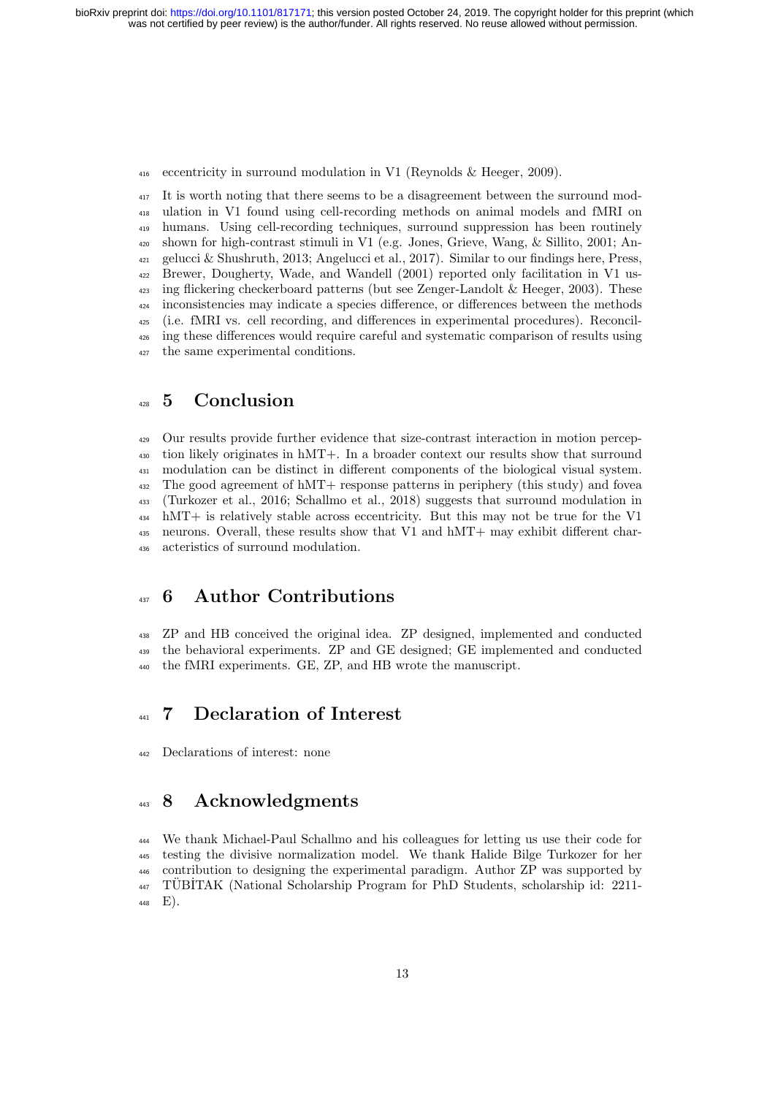eccentricity in surround modulation in V1 (Reynolds & Heeger, 2009).

<sup>417</sup> It is worth noting that there seems to be a disagreement between the surround mod- ulation in V1 found using cell-recording methods on animal models and fMRI on humans. Using cell-recording techniques, surround suppression has been routinely shown for high-contrast stimuli in V1 (e.g. Jones, Grieve, Wang, & Sillito, 2001; An- $_{421}$  gelucci & Shushruth, 2013; Angelucci et al., 2017). Similar to our findings here, Press, Brewer, Dougherty, Wade, and Wandell (2001) reported only facilitation in V1 us-<sup>423</sup> ing flickering checkerboard patterns (but see Zenger-Landolt & Heeger, 2003). These inconsistencies may indicate a species difference, or differences between the methods (i.e. fMRI vs. cell recording, and differences in experimental procedures). Reconcil- ing these differences would require careful and systematic comparison of results using the same experimental conditions.

## 5 Conclusion

 Our results provide further evidence that size-contrast interaction in motion percep- tion likely originates in hMT+. In a broader context our results show that surround modulation can be distinct in different components of the biological visual system. The good agreement of hMT+ response patterns in periphery (this study) and fovea (Turkozer et al., 2016; Schallmo et al., 2018) suggests that surround modulation in hMT+ is relatively stable across eccentricity. But this may not be true for the V1 neurons. Overall, these results show that V1 and hMT+ may exhibit different char-acteristics of surround modulation.

## 437 6 Author Contributions

 ZP and HB conceived the original idea. ZP designed, implemented and conducted the behavioral experiments. ZP and GE designed; GE implemented and conducted the fMRI experiments. GE, ZP, and HB wrote the manuscript.

## <sup>441</sup> 7 Declaration of Interest

Declarations of interest: none

## 8 Acknowledgments

 We thank Michael-Paul Schallmo and his colleagues for letting us use their code for testing the divisive normalization model. We thank Halide Bilge Turkozer for her contribution to designing the experimental paradigm. Author ZP was supported by 447 TÜBİTAK (National Scholarship Program for PhD Students, scholarship id: 2211-E).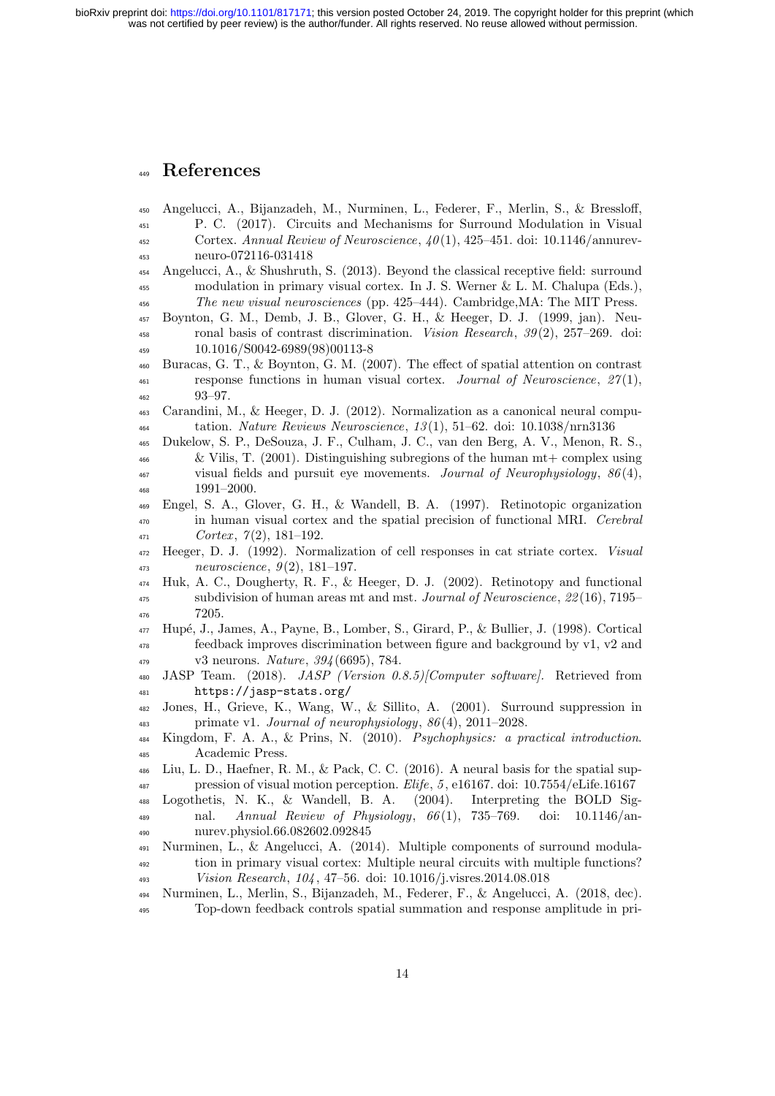# References

| 450 | Angelucci, A., Bijanzadeh, M., Nurminen, L., Federer, F., Merlin, S., & Bressloff,          |
|-----|---------------------------------------------------------------------------------------------|
| 451 | P. C. (2017). Circuits and Mechanisms for Surround Modulation in Visual                     |
| 452 | Cortex. Annual Review of Neuroscience, $40(1)$ , 425-451. doi: 10.1146/annurev-             |
| 453 | neuro-072116-031418                                                                         |
| 454 | Angelucci, A., & Shushruth, S. $(2013)$ . Beyond the classical receptive field: surround    |
| 455 | modulation in primary visual cortex. In J. S. Werner & L. M. Chalupa (Eds.),                |
| 456 | The new visual neurosciences (pp. 425–444). Cambridge, MA: The MIT Press.                   |
| 457 | Boynton, G. M., Demb, J. B., Glover, G. H., & Heeger, D. J. (1999, jan). Neu-               |
| 458 | ronal basis of contrast discrimination. Vision Research, $39(2)$ , 257-269. doi:            |
| 459 | 10.1016/S0042-6989(98)00113-8                                                               |
| 460 | Buracas, G. T., & Boynton, G. M. (2007). The effect of spatial attention on contrast        |
| 461 | response functions in human visual cortex. Journal of Neuroscience, $27(1)$ ,               |
| 462 | $93 - 97.$                                                                                  |
| 463 | Carandini, M., & Heeger, D. J. (2012). Normalization as a canonical neural compu-           |
| 464 | tation. Nature Reviews Neuroscience, $13(1)$ , 51–62. doi: 10.1038/nrn3136                  |
| 465 | Dukelow, S. P., DeSouza, J. F., Culham, J. C., van den Berg, A. V., Menon, R. S.,           |
| 466 | & Vilis, T. (2001). Distinguishing subregions of the human $mt+$ complex using              |
| 467 | visual fields and pursuit eye movements. Journal of Neurophysiology, $86(4)$ ,              |
| 468 | $1991 - 2000.$                                                                              |
| 469 | Engel, S. A., Glover, G. H., & Wandell, B. A. (1997). Retinotopic organization              |
| 470 | in human visual cortex and the spatial precision of functional MRI. Cerebral                |
| 471 | Cortex, $7(2)$ , 181-192.                                                                   |
| 472 | Heeger, D. J. (1992). Normalization of cell responses in cat striate cortex.<br>Visual      |
| 473 | <i>neuroscience</i> , $9(2)$ , 181-197.                                                     |
| 474 | Huk, A. C., Dougherty, R. F., & Heeger, D. J. (2002). Retinotopy and functional             |
| 475 | subdivision of human areas mt and mst. Journal of Neuroscience, $22(16)$ , 7195–            |
| 476 | 7205.                                                                                       |
| 477 | Hupé, J., James, A., Payne, B., Lomber, S., Girard, P., & Bullier, J. (1998). Cortical      |
| 478 | feedback improves discrimination between figure and background by $v1$ , $v2$ and           |
| 479 | v3 neurons. <i>Nature</i> , $394(6695)$ , 784.                                              |
| 480 | (2018). JASP (Version 0.8.5)/Computer software). Retrieved from<br>JASP Team.               |
| 481 | https://jasp-stats.org/                                                                     |
| 482 | Jones, H., Grieve, K., Wang, W., & Sillito, A. (2001). Surround suppression in              |
| 483 | primate v1. Journal of neurophysiology, $86(4)$ , 2011–2028.                                |
| 484 | Kingdom, F. A. A., & Prins, N. (2010). Psychophysics: a practical introduction.             |
| 485 | Academic Press.                                                                             |
| 486 | Liu, L. D., Haefner, R. M., & Pack, C. C. (2016). A neural basis for the spatial sup-       |
| 487 | pression of visual motion perception. <i>Elife</i> , 5, e16167. doi: $10.7554$ /eLife.16167 |
| 488 | Logothetis, N. K., & Wandell, B. A. (2004). Interpreting the BOLD Sig-                      |
| 489 | $Annual\ Review\ of\ Physiology,\ 66(1),\ 735-769.$<br>doi:<br>nal.<br>$10.1146$ /an-       |
| 490 | nurev.physiol.66.082602.092845                                                              |
| 491 | Nurminen, L., & Angelucci, A. (2014). Multiple components of surround modula-               |
| 492 | tion in primary visual cortex: Multiple neural circuits with multiple functions?            |
| 493 | Vision Research, $104$ , 47-56. doi: 10.1016/j.visres.2014.08.018                           |
| 494 | Nurminen, L., Merlin, S., Bijanzadeh, M., Federer, F., & Angelucci, A. (2018, dec).         |
| 495 | Top-down feedback controls spatial summation and response amplitude in pri-                 |
|     |                                                                                             |
|     |                                                                                             |
|     |                                                                                             |